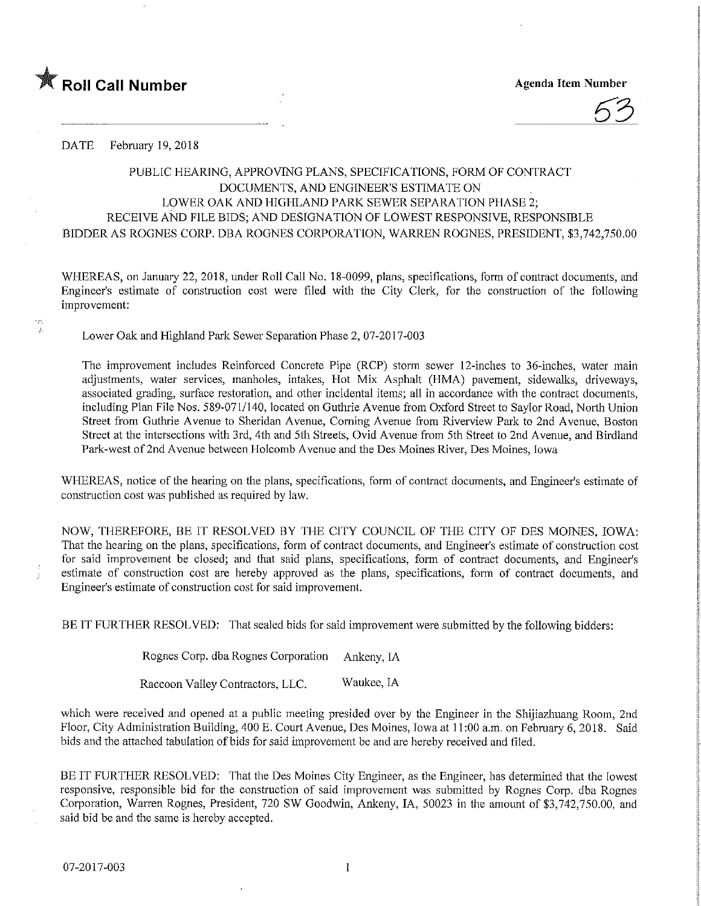

'n. j.

53

## DATE February 19,2018

## PUBLIC HEARING, APPROVING PLANS, SPECIFICATIONS, FORM OF CONTRACT DOCUMENTS, AND ENGINEER'S ESTIMATE ON LOWER OAK AND HIGHLAND PARK SEWER SEPARATION PHASE 2; RECEIVE AND FILE BIDS; AND DESIGNATION OF LOWEST RESPONSIVE, RESPONSIBLE BIDDER AS ROGNES CORP. DBA ROGNES CORPORATION, WARREN ROGNES, PRESIDENT, \$3,742,750.00

WHEREAS, on January 22, 2018, under Roll Call No. 18-0099, plans, specifications, form of contract documents, and Engineer's estimate of construction cost were filed with the City Clerk, for the construction of the following improvement:

Lower Oak and Highland Park Sewer Separation Phase 2, 07-2017-003

The improvement includes Reinforced Concrete Pipe (RCP) storm sewer 12-inches to 36-inches, water main adjustments, water services, manholes, intakes, Hot Mix Asphalt (HMA) pavement, sidewalks, driveways, associated grading, surface restoration, and other incidental items; all in accordance with the contract documents, including Plan File Nos. 589-071/140, located on Guthrie Avenue from Oxford Street to Saylor Road, North Union Street from Guthrie Avenue to Sheridan Avenue, Corning Avenue from Riverview Park to 2nd Avenue, Boston Street at the intersections with 3rd, 4th and 5th Streets, Ovid Avenue from 5th Street to 2nd Avenue, and Birdland Park-west of 2nd Avenue between Holcomb Avenue and the Des Momes River, Des Moines, Iowa

WHEREAS, notice of the hearing on the plans, specifications, form of contract documents, and Engineer's estimate of construction cost was published as required by law.

NOW, THEREFORE, BE IT RESOLVED BY THE CITY COUNCIL OF THE CITY OF DES MOJNES, IOWA: That the hearing on the plans, specifications, form of contract documents, and Engineer's estimate of construction cost for said improvement be closed; and that said plans, specifications, form of contract documents, and Engineer's estimate of construction cost are hereby approved as the plans, specifications, form of contract documents, and Engineer's estimate of construction cost for said improvement.

BE IT FURTHER RESOLVED: That sealed bids for said improvement were submitted by the following bidders:

Rognes Corp. dba Rognes Corporation Ankeny, IA

Raccoon Valley Contractors, LLC. Waukee, IA

which were received and opened at a public meeting presided over by the Engineer in the Shijiazhuang Room, 2nd Floor, City Administration Building, 400 E. Court Avenue, Des Moines, Iowa at 11:00 a.m. on February 6, 2018. Said bids and the attached tabulation of bids for said Improvement be and are hereby received and filed.

BE IT FURTHER RESOLVED: That the Des Moines City Engineer, as the Engineer, has determined that the lowest responsive, responsible bid for the construction of said improvement was submitted by Rognes Corp. dba Rognes Corporation, Warren Rognes, President, 720 SW Goodwin, Ankeny, IA, 50023 in the amount of \$3,742,750.00, and said bid be and the same is hereby accepted.

1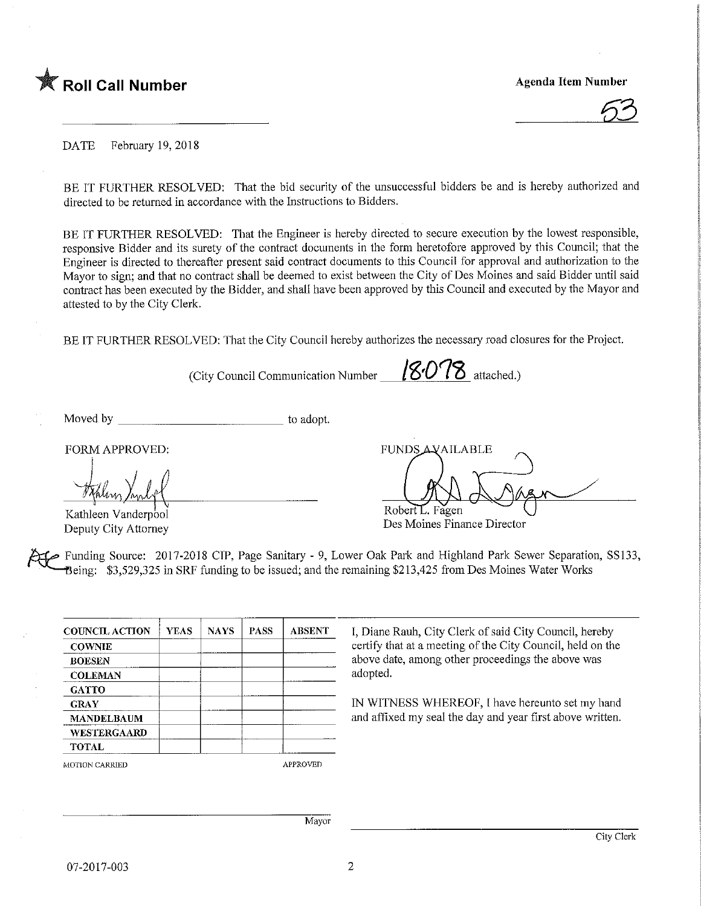

DATE February 19, 2018

BE IT FURTHER RESOLVED: That the bid security of the unsuccessful bidders be and is hereby authorized and directed to be returned in accordance with the Instructions to Bidders.

BE IT FURTHER RESOLVED: That the Engineer is hereby directed to secure execution by the lowest responsible, responsive Bidder and its surety of the contract documents in the form heretofore approved by this Council; that the Engineer is directed to thereafter present said contract documents to this Council for approval and authorization to the Mayor to sign; and that no contract shall be deemed to exist between the City of Des Moines and said Bidder until said contract has been executed by the Bidder, and shall have been approved by this Council and executed by the Mayor and attested to by the City Clerk.

BE IT FURTHER RESOLVED: That the City Council hereby authorizes the necessary road closures for the Project.

(City Council Communication Number  $\sqrt{8078}$  attached.)

Moved by to adopt.

FORM APPROVED:

Kathleen Vanderpool Deputy City Attorney

FUNDS AVAILABLE Robert<sub>L. Fagen</sub>

Des Moines Finance Director

Funding Source: 2017-2018 CIP, Page Sanitary - 9, Lower Oak Park and Highland Park Sewer Separation, SS133, Being: \$3,529,325 in SRF funding to be issued; and the remaining \$213,425 from Des Moines Water Works

| <b>COUNCIL ACTION</b> | <b>YEAS</b> | <b>NAYS</b> | <b>PASS</b> | <b>ABSENT</b>   |  |  |
|-----------------------|-------------|-------------|-------------|-----------------|--|--|
| <b>COWNIE</b>         |             |             |             |                 |  |  |
| <b>BOESEN</b>         |             |             |             |                 |  |  |
| <b>COLEMAN</b>        |             |             |             |                 |  |  |
| <b>GATTO</b>          |             |             |             |                 |  |  |
| <b>GRAY</b>           |             |             |             |                 |  |  |
| <b>MANDELBAUM</b>     |             |             |             |                 |  |  |
| WESTERGAARD           |             |             |             |                 |  |  |
| <b>TOTAL</b>          |             |             |             |                 |  |  |
| <b>MOTION CARRIED</b> |             |             |             | <b>APPROVED</b> |  |  |

I. Diane Rauh. City Clerk of said City Council, hereby certify that at a meeting of the City Council, held on the above date, among other proceedings the above was adopted.

IN WITNESS WHEREOF, I have hereunto set my hand and affixed my seal the day and year first above written.

Mayor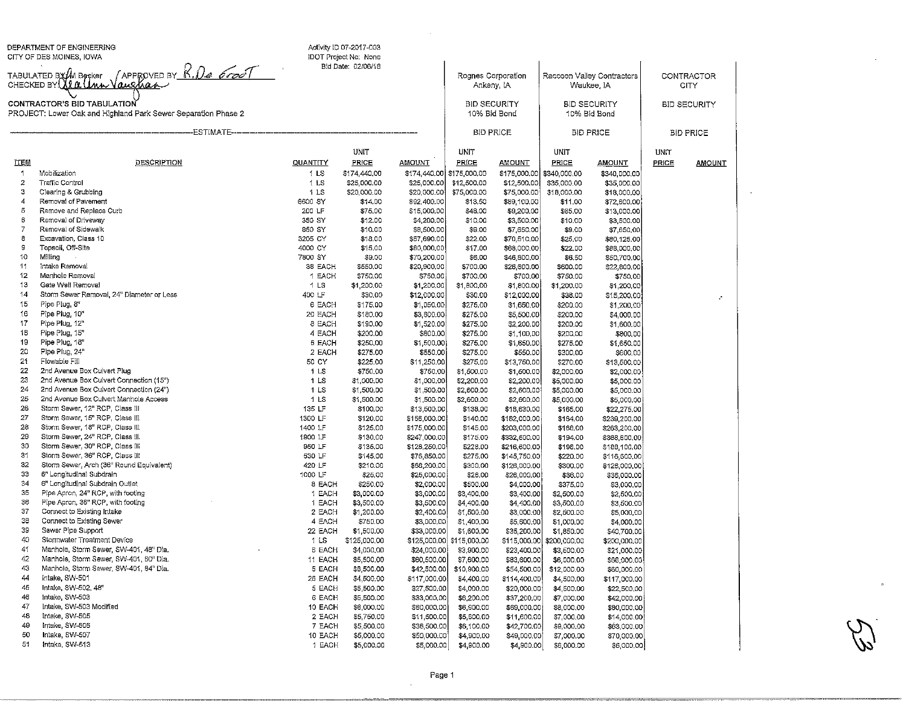DEPARTMENT OF ENGINEERING<br>CITY OF DES MOINES, IOWA

 $\overline{\phantom{a}y}$   $\overline{\phantom{a}y}$ CHT OF DES MOINES, IOWA<br>TABULATED BY (M Booker / APPROVED BY P<br>CHECKED BY (MACUMA VOUS/AQA-/

| TABULATED BY/M Becker / APPROVED BY_ <u>K,1<i>)e_6100' </i></u><br>CHECKED BY <mark>\{{(L\UMM\Quq\aq</mark> M<br>CONTRACTOR'S BID TABULATION<br>PROJECT: Lower Oak and Highland Park Sewer Separation Phase 2 |                                                                    |                    |                          |                              | Rognes Corporation<br>Ankeny, IA<br><b>BID SECURITY</b><br>10% Bid Bond |                              | Raccoon Valley Contractors<br>Waukee, IA<br><b>BID SECURITY</b><br>10% Bid Bond |                              | CONTRACTOR<br>CITY. |               |  |
|---------------------------------------------------------------------------------------------------------------------------------------------------------------------------------------------------------------|--------------------------------------------------------------------|--------------------|--------------------------|------------------------------|-------------------------------------------------------------------------|------------------------------|---------------------------------------------------------------------------------|------------------------------|---------------------|---------------|--|
|                                                                                                                                                                                                               |                                                                    |                    |                          |                              |                                                                         |                              |                                                                                 |                              | <b>BID SECURITY</b> |               |  |
| --ESTIMATE---                                                                                                                                                                                                 |                                                                    |                    |                          |                              | <b>BID PRICE</b>                                                        |                              | <b>BID PRICE</b>                                                                |                              | <b>BID PRICE</b>    |               |  |
|                                                                                                                                                                                                               |                                                                    |                    | <b>UNIT</b>              |                              | UNIT                                                                    |                              | UNIT                                                                            |                              | <b>UNIT</b>         |               |  |
| <b>ITEM</b>                                                                                                                                                                                                   | <b>DESCRIPTION</b>                                                 | QUANTITY           | PRICE                    | <b>AMOUNT</b>                | PRICE                                                                   | <b>AMOUNT</b>                | PRICE                                                                           | <b>AMOUNT</b>                | PRICE               | <b>AMOUNT</b> |  |
| 1                                                                                                                                                                                                             | Mobilization                                                       | 1 <sub>LS</sub>    | \$174,440.00             | \$174,440.00                 | \$175,000.00                                                            |                              | \$175,000.00 \$340,000.00                                                       | \$340,000.00                 |                     |               |  |
| $\overline{c}$                                                                                                                                                                                                | <b>Traffic Control</b>                                             | 1 <sub>LS</sub>    | \$25,000,00              | \$25,000.00                  | \$12,500.00                                                             | \$12,500.00                  | \$35,000.00                                                                     | \$35,000.00                  |                     |               |  |
| з                                                                                                                                                                                                             | Clearing & Grubbing                                                | 1 LS               | \$20,000.00              | \$20,000.00                  | \$75,000.00                                                             | \$75,000.00                  | \$18,000.00                                                                     | \$18,000.00                  |                     |               |  |
| 4                                                                                                                                                                                                             | Removal of Pavement                                                | 6600 SY            | \$14.00                  | \$92,400.00                  | \$13.50                                                                 | \$89,100.00                  | \$11.00                                                                         | \$72,600.00                  |                     |               |  |
| 5                                                                                                                                                                                                             | Remove and Replace Curb                                            | 200 LF             | \$75.00                  | \$15,000.00                  | \$46.00                                                                 | \$9,200.00                   | \$65.00                                                                         | \$13,000.00                  |                     |               |  |
| 6                                                                                                                                                                                                             | Removal of Driveway                                                | 350 SY             | \$12.00                  | \$4,200,00                   | \$10,00                                                                 | \$3,500.00                   | \$10.00                                                                         | \$3,500.00                   |                     |               |  |
| $\overline{\mathcal{L}}$<br>8                                                                                                                                                                                 | Removal of Sidewalk<br>Excavation, Class 10                        | 850 SY<br>3205 CY  | \$10.00                  | \$8,500.00<br>\$57,690.00    | \$9.00                                                                  | \$7,650.00                   | \$9.00                                                                          | \$7,650,00                   |                     |               |  |
| 9                                                                                                                                                                                                             | Topsoil, Off-Site                                                  | 4000 CY            | \$18.00<br>\$15.00       | \$60,000,00                  | \$22.00<br>\$17.00                                                      | \$70,510.00<br>\$68,000.00   | \$25.00<br>\$22.00                                                              | \$80,125.00<br>\$88,000,00   |                     |               |  |
| 10                                                                                                                                                                                                            | Milling                                                            | 7800 SY            | \$9.00                   | \$70,200.00                  | \$6,00                                                                  | \$46,800.00                  | \$6.50                                                                          | \$50,700.00                  |                     |               |  |
| 11                                                                                                                                                                                                            | Intake Removal                                                     | 38 EACH            | \$550.00                 | \$20,900.00                  | \$700.00                                                                | \$26,600.00                  | \$600.00                                                                        | \$22,800.00                  |                     |               |  |
| 12                                                                                                                                                                                                            | Manhole Removal                                                    | 1 EACH             | \$750.00                 | \$750.00                     | \$700.00                                                                | \$700.00                     | \$750.00                                                                        | \$750.00                     |                     |               |  |
| 13                                                                                                                                                                                                            | Gate Well Removal                                                  | $1$ LS             | \$1,200.00               | \$1,200.00                   | \$1,800.00                                                              | \$1,800.00                   | \$1,200.00                                                                      | \$1,200.00                   |                     |               |  |
| 14                                                                                                                                                                                                            | Storm Sewer Removal, 24" Diameter or Less                          | 400 LF             | \$30,00                  | \$12,000.00                  | \$30.00                                                                 | \$12,000.00                  | \$38,00                                                                         | \$15,200.00                  |                     |               |  |
| 15                                                                                                                                                                                                            | Pipe Plug, 8"                                                      | 6 EACH             | \$175.00                 | \$1,050.00                   | \$275.00                                                                | \$1,650.00                   | \$200.00                                                                        | \$1,200.00                   |                     |               |  |
| 16                                                                                                                                                                                                            | Pipe Plug, 10"                                                     | 20 EACH            | \$180.00                 | \$3,600.00                   | \$275.00                                                                | \$5,500.00                   | \$200,00                                                                        | \$4,000.00                   |                     |               |  |
| 17                                                                                                                                                                                                            | Pipe Plug, 12"                                                     | 8 EACH             | \$190.00                 | \$1,520.00                   | \$275.00                                                                | \$2,200.00                   | \$200.00                                                                        | \$1,600.00                   |                     |               |  |
| 18                                                                                                                                                                                                            | Pipe Plug, 15"                                                     | 4 EACH             | \$200.00                 | \$800.00                     | \$275.00                                                                | \$1,100.00                   | \$200,00                                                                        | \$800.00                     |                     |               |  |
| 19                                                                                                                                                                                                            | Pipe Plug, 18"                                                     | 6 EACH             | \$250,00                 | \$1,500.00                   | \$275.00                                                                | \$1,650.00                   | \$275.00                                                                        | \$1,650.00                   |                     |               |  |
| 20                                                                                                                                                                                                            | Pipe Plug, 24"                                                     | 2 EACH             | \$275.00                 | \$550.00                     | \$275.00                                                                | \$550.00                     | \$300,00                                                                        | \$600,00                     |                     |               |  |
| 21                                                                                                                                                                                                            | Flowable Fill                                                      | 50 CY              | \$225.00                 | \$11,250.00                  | \$275.00                                                                | \$13,750.00                  | \$270.00                                                                        | \$13,500.00                  |                     |               |  |
| 22                                                                                                                                                                                                            | 2nd Avenue Box Culvert Plug                                        | 1 <sub>LS</sub>    | \$750.00                 | \$750.00                     | \$1,500.00                                                              | \$1,500.00                   | \$2,000,00                                                                      | \$2,000.00                   |                     |               |  |
| 23                                                                                                                                                                                                            | 2nd Avenue Box Culvert Connection (15")                            | 11S                | \$1,000.00               | \$1,000.00                   | \$2,200.00                                                              | \$2,200.00                   | \$5,000.00                                                                      | \$5,000.00                   |                     |               |  |
| 24                                                                                                                                                                                                            | 2nd Avenue Box Culvert Connection (24")                            | 1 <sub>LS</sub>    | \$1,500.00               | \$1,500.00                   | \$2,600.00                                                              | \$2,600.00                   | \$5,000.00                                                                      | \$5,000.00                   |                     |               |  |
| 25                                                                                                                                                                                                            | 2nd Avenue Box Culvert Manhole Access                              | 1 LS               | \$1,500.00               | \$1,500.00                   | \$2,600.00                                                              | \$2,600.00                   | \$5,000.00                                                                      | \$5,000.00                   |                     |               |  |
| 26<br>27                                                                                                                                                                                                      | Storm Sewer, 12" RCP, Class III                                    | 135 LF             | \$100.00                 | \$13,500.00                  | \$138.00                                                                | \$18,630.00                  | \$165.00                                                                        | \$22,275.00                  |                     |               |  |
| 28                                                                                                                                                                                                            | Storm Sewer, 15" RCP, Class III<br>Storm Sewer, 18" RCP, Class III | 1300 LF<br>1400 LF | \$120.00                 | \$156,000.00                 | \$140.00                                                                | \$182,000.00                 | \$184.00                                                                        | \$239,200.00                 |                     |               |  |
| 29                                                                                                                                                                                                            | Storm Sewer, 24" RCP, Class III                                    | 1900 LF            | \$125.00<br>\$130.00     | \$175,000.00<br>\$247,000.00 | \$145.00<br>\$175.00                                                    | \$203,000.00<br>\$332,500.00 | \$188,00<br>\$194.00                                                            | \$263,200.00<br>\$368,600.00 |                     |               |  |
| 30                                                                                                                                                                                                            | Storm Sewer, 30" RCP, Class III                                    | 950 LF             | \$135,00                 | \$128,250.00                 | \$228.00                                                                | \$216,600.00                 | \$198.00                                                                        | \$188,100,00                 |                     |               |  |
| 31                                                                                                                                                                                                            | Storm Sewer, 36" RCP, Class III                                    | 530 LF             | \$145.00                 | \$76,850,00                  | \$275.00                                                                | \$145,750.00                 | \$220.00                                                                        | \$116,600.00                 |                     |               |  |
| 32                                                                                                                                                                                                            | Storm Sewer, Arch (36" Round Equivalent)                           | 420 LF             | \$210.00                 | \$88,200,00                  | \$300.00                                                                | \$126,000.00                 | \$300.00                                                                        | \$126,000.00                 |                     |               |  |
| 33                                                                                                                                                                                                            | 6" Longitudinal Subdrain                                           | 1000 LF            | \$25.00                  | \$25,000.00                  | \$26.00                                                                 | \$26,000.00                  | \$36,00                                                                         | \$36,000.00                  |                     |               |  |
| 34                                                                                                                                                                                                            | 6" Longitudinal Subdrain Outlet                                    | 8 EACH             | \$250.00                 | \$2,000.00                   | \$500.00                                                                | \$4,000.00                   | \$375,00                                                                        | \$3,000.00                   |                     |               |  |
| 35                                                                                                                                                                                                            | Pipe Apron, 24" RCP, with footing                                  | 1 EACH             | \$3,000.00               | \$3,000.00                   | \$3,400.00                                                              | \$3,400.00                   | \$2,500.00                                                                      | \$2,500.00                   |                     |               |  |
| 36                                                                                                                                                                                                            | Pipe Apron, 36" RCP, with footing                                  | 1 EACH             | \$3,500.00               | \$3,500.00                   | \$4,400.00                                                              | \$4,400.00                   | \$3,500.00                                                                      | \$3,500.00                   |                     |               |  |
| 37                                                                                                                                                                                                            | Connect to Existing Intake                                         | 2 EACH             | \$1,200.00               | \$2,400.00                   | \$1,500.00                                                              | \$3,000.00                   | \$2,500.00                                                                      | \$5,000.00                   |                     |               |  |
| 38                                                                                                                                                                                                            | Connect to Existing Sewer                                          | 4 EACH             | \$750.00                 | \$3,000.00                   | \$1,400.00                                                              | \$5,600.00                   | \$1,000.00                                                                      | \$4,000.00                   |                     |               |  |
| 39                                                                                                                                                                                                            | Sewer Pipe Support                                                 | 22 EACH            | \$1,500.00               | \$33,000,00                  | \$1,600,00                                                              | \$35,200.00                  | \$1,850.00                                                                      | \$40,700.00                  |                     |               |  |
| 40                                                                                                                                                                                                            | Stormwater Treatment Device                                        | 1 <sub>LS</sub>    | \$125,000.00             | \$125,000.00                 | \$115,000.00                                                            | \$115,000.00                 | \$200,000,00                                                                    | \$200,000.00                 |                     |               |  |
| 41                                                                                                                                                                                                            | Manhole, Storm Sewer, SW-401, 48" Dia.                             | <b>6 EACH</b>      | \$4,000,00               | \$24,000.00                  | \$3,900.00                                                              | \$23,400.00                  | \$3,500,00                                                                      | \$21,000.00                  |                     |               |  |
| 42                                                                                                                                                                                                            | Manhole, Storm Sewer, SW-401, 60" Dia.                             | 11 EACH            | \$5,500.00               | \$60,500.00                  | \$7,600.00                                                              | \$83,600.00                  | \$6,000,00                                                                      | \$66,000.00                  |                     |               |  |
| 43<br>44                                                                                                                                                                                                      | Manhole, Storm Sewer, SW-401, 84" Dia.                             | 5 EACH             | \$8,500.00               | \$42,500.00                  | \$10,900.00                                                             | \$54,500.00                  | \$12,000.00                                                                     | \$60,000.00                  |                     |               |  |
| 45                                                                                                                                                                                                            | intake, SW-501                                                     | 26 EACH            | \$4,500.00               | \$117,000.00                 | \$4,400,00                                                              | \$114,400,00                 | \$4,500.00                                                                      | \$117,000.00                 |                     |               |  |
| 46                                                                                                                                                                                                            | Intake, SW-502, 48"<br>Intake, SW-503                              | 5 EACH             | \$5,500.00               | \$27,500.00                  | \$4,000.00                                                              | \$20,000.00                  | \$4,500.00                                                                      | \$22,500,00                  |                     |               |  |
| 47                                                                                                                                                                                                            | Intake, SW-503 Modified                                            | 6 EACH<br>10 EACH  | \$5,500.00<br>\$6,000.00 | \$33,000.00                  | \$6,200.00                                                              | \$37,200.00                  | \$7,000.00                                                                      | \$42,000.00                  |                     |               |  |
| 48                                                                                                                                                                                                            | Intake SW-505                                                      | 2 EACH             | \$5,750.00               | \$60,000.00<br>\$11,500.00   | \$6,900.00<br>\$5,800.00                                                | \$69,000.00<br>\$11,600.00   | \$8,000.00                                                                      | \$80,000.00                  |                     |               |  |
| 49                                                                                                                                                                                                            | Intake, SW-506                                                     | 7 EACH             | \$5,500.00               | \$38,500.00                  | \$6,100.00                                                              | \$42,700.00                  | \$7,000.00<br>\$9,000.00                                                        | \$14,000.00<br>\$63,000.00   |                     |               |  |
| 50                                                                                                                                                                                                            | Intake, SW-507                                                     | 10 EACH            | \$5,000.00               | \$50,000.00                  | \$4,900,00                                                              | \$49,000.00                  | \$7,000.00                                                                      | \$70,000.00                  |                     |               |  |
| 51                                                                                                                                                                                                            | Intake, SW-513                                                     | 1 EACH             | \$5,000,00               | \$5,000.00                   | \$4,900.00                                                              | \$4,900.00                   | \$6,000.00                                                                      | \$6,000.00                   |                     |               |  |
|                                                                                                                                                                                                               |                                                                    |                    |                          |                              |                                                                         |                              |                                                                                 |                              |                     |               |  |

Activity ID D7-2017-003iDOT Project No: None Bid Date: 02/06/1S